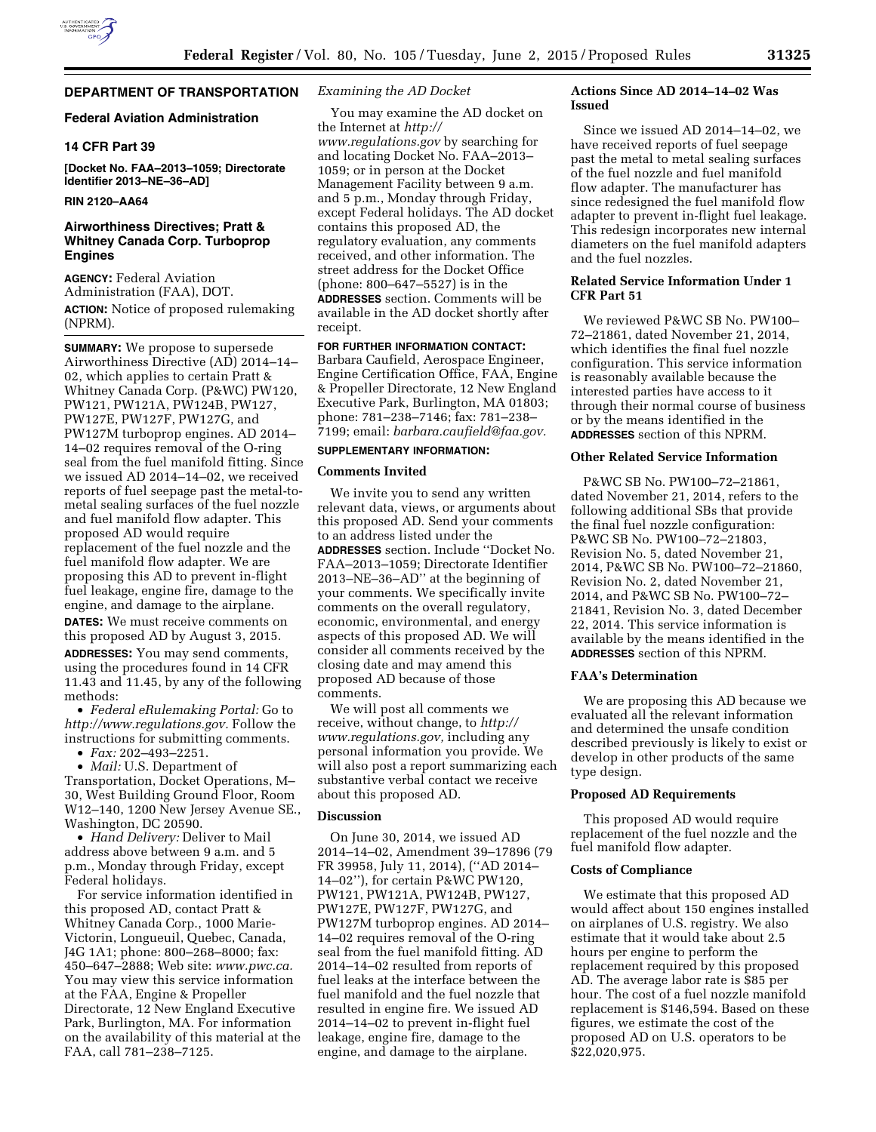### **Federal Aviation Administration**

### **14 CFR Part 39**

**[Docket No. FAA–2013–1059; Directorate Identifier 2013–NE–36–AD]** 

### **RIN 2120–AA64**

# **Airworthiness Directives; Pratt & Whitney Canada Corp. Turboprop Engines**

**AGENCY:** Federal Aviation Administration (FAA), DOT. **ACTION:** Notice of proposed rulemaking (NPRM).

**SUMMARY:** We propose to supersede Airworthiness Directive (AD) 2014–14– 02, which applies to certain Pratt & Whitney Canada Corp. (P&WC) PW120, PW121, PW121A, PW124B, PW127, PW127E, PW127F, PW127G, and PW127M turboprop engines. AD 2014– 14–02 requires removal of the O-ring seal from the fuel manifold fitting. Since we issued AD 2014–14–02, we received reports of fuel seepage past the metal-tometal sealing surfaces of the fuel nozzle and fuel manifold flow adapter. This proposed AD would require replacement of the fuel nozzle and the fuel manifold flow adapter. We are proposing this AD to prevent in-flight fuel leakage, engine fire, damage to the engine, and damage to the airplane. **DATES:** We must receive comments on this proposed AD by August 3, 2015. **ADDRESSES:** You may send comments, using the procedures found in 14 CFR 11.43 and 11.45, by any of the following methods:

• *Federal eRulemaking Portal:* Go to *[http://www.regulations.gov.](http://www.regulations.gov)* Follow the instructions for submitting comments.

• *Fax:* 202–493–2251.

• *Mail:* U.S. Department of Transportation, Docket Operations, M– 30, West Building Ground Floor, Room W12–140, 1200 New Jersey Avenue SE., Washington, DC 20590.

• *Hand Delivery:* Deliver to Mail address above between 9 a.m. and 5 p.m., Monday through Friday, except Federal holidays.

For service information identified in this proposed AD, contact Pratt & Whitney Canada Corp., 1000 Marie-Victorin, Longueuil, Quebec, Canada, J4G 1A1; phone: 800–268–8000; fax: 450–647–2888; Web site: *[www.pwc.ca.](http://www.pwc.ca)*  You may view this service information at the FAA, Engine & Propeller Directorate, 12 New England Executive Park, Burlington, MA. For information on the availability of this material at the FAA, call 781–238–7125.

### *Examining the AD Docket*

You may examine the AD docket on the Internet at *[http://](http://www.regulations.gov) [www.regulations.gov](http://www.regulations.gov)* by searching for and locating Docket No. FAA–2013– 1059; or in person at the Docket Management Facility between 9 a.m. and 5 p.m., Monday through Friday, except Federal holidays. The AD docket contains this proposed AD, the regulatory evaluation, any comments received, and other information. The street address for the Docket Office (phone: 800–647–5527) is in the **ADDRESSES** section. Comments will be available in the AD docket shortly after receipt.

# **FOR FURTHER INFORMATION CONTACT:**

Barbara Caufield, Aerospace Engineer, Engine Certification Office, FAA, Engine & Propeller Directorate, 12 New England Executive Park, Burlington, MA 01803; phone: 781–238–7146; fax: 781–238– 7199; email: *[barbara.caufield@faa.gov.](mailto:barbara.caufield@faa.gov)* 

## **SUPPLEMENTARY INFORMATION:**

### **Comments Invited**

We invite you to send any written relevant data, views, or arguments about this proposed AD. Send your comments to an address listed under the **ADDRESSES** section. Include ''Docket No. FAA–2013–1059; Directorate Identifier 2013–NE–36–AD'' at the beginning of your comments. We specifically invite comments on the overall regulatory, economic, environmental, and energy aspects of this proposed AD. We will consider all comments received by the closing date and may amend this proposed AD because of those comments.

We will post all comments we receive, without change, to *[http://](http://www.regulations.gov) [www.regulations.gov,](http://www.regulations.gov)* including any personal information you provide. We will also post a report summarizing each substantive verbal contact we receive about this proposed AD.

### **Discussion**

On June 30, 2014, we issued AD 2014–14–02, Amendment 39–17896 (79 FR 39958, July 11, 2014), (''AD 2014– 14–02''), for certain P&WC PW120, PW121, PW121A, PW124B, PW127, PW127E, PW127F, PW127G, and PW127M turboprop engines. AD 2014– 14–02 requires removal of the O-ring seal from the fuel manifold fitting. AD 2014–14–02 resulted from reports of fuel leaks at the interface between the fuel manifold and the fuel nozzle that resulted in engine fire. We issued AD 2014–14–02 to prevent in-flight fuel leakage, engine fire, damage to the engine, and damage to the airplane.

### **Actions Since AD 2014–14–02 Was Issued**

Since we issued AD 2014–14–02, we have received reports of fuel seepage past the metal to metal sealing surfaces of the fuel nozzle and fuel manifold flow adapter. The manufacturer has since redesigned the fuel manifold flow adapter to prevent in-flight fuel leakage. This redesign incorporates new internal diameters on the fuel manifold adapters and the fuel nozzles.

### **Related Service Information Under 1 CFR Part 51**

We reviewed P&WC SB No. PW100– 72–21861, dated November 21, 2014, which identifies the final fuel nozzle configuration. This service information is reasonably available because the interested parties have access to it through their normal course of business or by the means identified in the **ADDRESSES** section of this NPRM.

### **Other Related Service Information**

P&WC SB No. PW100–72–21861, dated November 21, 2014, refers to the following additional SBs that provide the final fuel nozzle configuration: P&WC SB No. PW100–72–21803, Revision No. 5, dated November 21, 2014, P&WC SB No. PW100–72–21860, Revision No. 2, dated November 21, 2014, and P&WC SB No. PW100–72– 21841, Revision No. 3, dated December 22, 2014. This service information is available by the means identified in the **ADDRESSES** section of this NPRM.

# **FAA's Determination**

We are proposing this AD because we evaluated all the relevant information and determined the unsafe condition described previously is likely to exist or develop in other products of the same type design.

### **Proposed AD Requirements**

This proposed AD would require replacement of the fuel nozzle and the fuel manifold flow adapter.

### **Costs of Compliance**

We estimate that this proposed AD would affect about 150 engines installed on airplanes of U.S. registry. We also estimate that it would take about 2.5 hours per engine to perform the replacement required by this proposed AD. The average labor rate is \$85 per hour. The cost of a fuel nozzle manifold replacement is \$146,594. Based on these figures, we estimate the cost of the proposed AD on U.S. operators to be \$22,020,975.